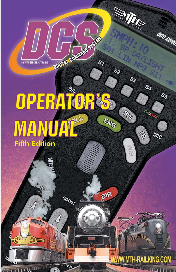**BY MTH ELECTRIC TRAINS** 

Ś

**TTTTU, ONE** 

# OPERATOR& **MANUATE** ENG **Fifth Edition**

800ST

DIGITAL COMMANDS STATES

 $s<sub>7</sub>$ 

DIR

**SS** 

## **MWW.MTH-RAILKING.COM**

**REALITE** 

 $\mathcal{S}_3$ 

OUD

in 11

 $\mathcal{S}_q$ 

ONIO

MIC

**Allen** 

OCS REMO

 $S_{\mathcal{S}}$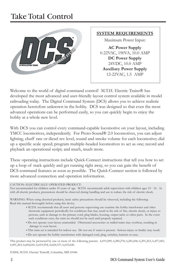## Take Total Control



### **SYSTEM REQUIREMENTS**

Maximum Power Input:

**AC Power Supply** 0-22VAC, 190VA, 10.0 AMP **DC Power Supply** 24VDC, 10.0 AMP **Auxiliary Power Supply** 12-22VAC, 1.5 AMP

Welcome to the world of digital command control! M.T.H. Electric Trains® has developed the most advanced and user-friendly layout control system available in model railroading today. The Digital Command System (DCS) allows you to achieve realistic operation heretofore unknown in the hobby. DCS was designed so that even the most advanced operations can be performed easily, so you can quickly begin to enjoy the hobby at a whole new level.

With DCS you can control every command-capable locomotive on your layout, including TMCC locomotives, independently. For Proto-Sound® 2.0 locomotives, you can adjust lighting, chuff rate or diesel rev level, sound and smoke volume for each locomotive; dial up a specific scale speed; program multiple-headed locomotives to act as one; record and playback an operational script; and much, much more.

These operating instructions include Quick-Connect instructions that tell you how to set up a loop of track quickly and get running right away, so you can gain the benefit of DCS command features as soon as possible. The Quick-Connect section is followed by more advanced connection and operation information.

#### CAUTION: ELECTRICALLY OPERATED PRODUCT:

Not recommended for children under 10 years of age. M.T.H. recommends adult supervision with children ages 10 - 16. As with all electric products, precautions should be observed during handling and use to reduce the risk of electric shock.

WARNING: When using electrical products, basic safety precautions should be observed, including the following: Read this manual thoroughly before using this device.

- M.T.H. recommends that all users and persons supervising use examine the hobby transformer and other electronic equipment periodically for conditions that may result in the risk of fire, electric shock, or injury to persons, such as damage to the primary cord, plug blades, housing, output jacks or other parts. In the event such conditions exist, the train set should not be used until properly repaired.
- Do not operate your layout unattended. Obstructed accessories or stalled trains may overheat, resulting in damage to your layout.
- This train set is intended for indoor use. Do not use if water is present. Serious injury or fatality may result.
- Do not operate the hobby transformer with damaged cord, plug, switches, buttons or case.

This product may be protected by one or more of the following patents: 6,019,289; 6,280,278; 6,281,606; 6,291,263; 6,457,681; 6,491,263; 6,604,641; 6,619,594; 6,624,537; 6,655,640.

©2008, M.T.H. Electric Trains®, Columbia, MD 21046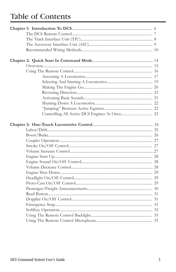## Table of Contents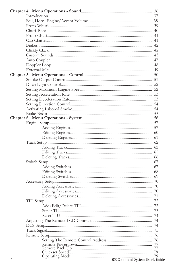| DCS Command System User's Guide |  |
|---------------------------------|--|